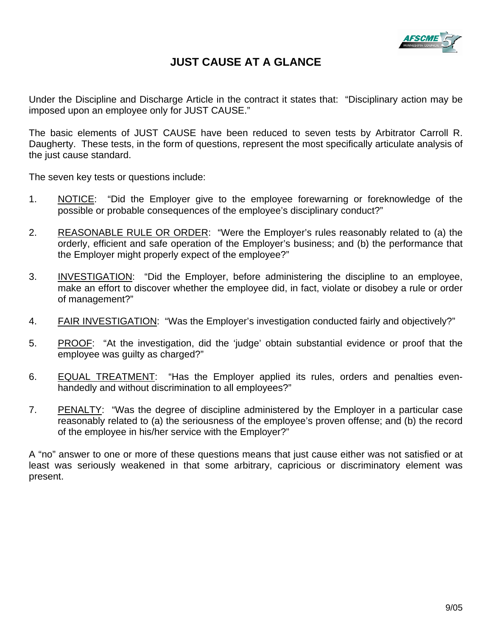

# **JUST CAUSE AT A GLANCE**

Under the Discipline and Discharge Article in the contract it states that: "Disciplinary action may be imposed upon an employee only for JUST CAUSE."

The basic elements of JUST CAUSE have been reduced to seven tests by Arbitrator Carroll R. Daugherty. These tests, in the form of questions, represent the most specifically articulate analysis of the just cause standard.

The seven key tests or questions include:

- 1. NOTICE: "Did the Employer give to the employee forewarning or foreknowledge of the possible or probable consequences of the employee's disciplinary conduct?"
- 2. REASONABLE RULE OR ORDER: "Were the Employer's rules reasonably related to (a) the orderly, efficient and safe operation of the Employer's business; and (b) the performance that the Employer might properly expect of the employee?"
- 3. INVESTIGATION: "Did the Employer, before administering the discipline to an employee, make an effort to discover whether the employee did, in fact, violate or disobey a rule or order of management?"
- 4. **FAIR INVESTIGATION:** "Was the Employer's investigation conducted fairly and objectively?"
- 5. PROOF: "At the investigation, did the 'judge' obtain substantial evidence or proof that the employee was guilty as charged?"
- 6. EQUAL TREATMENT: "Has the Employer applied its rules, orders and penalties evenhandedly and without discrimination to all employees?"
- 7. PENALTY: "Was the degree of discipline administered by the Employer in a particular case reasonably related to (a) the seriousness of the employee's proven offense; and (b) the record of the employee in his/her service with the Employer?"

A "no" answer to one or more of these questions means that just cause either was not satisfied or at least was seriously weakened in that some arbitrary, capricious or discriminatory element was present.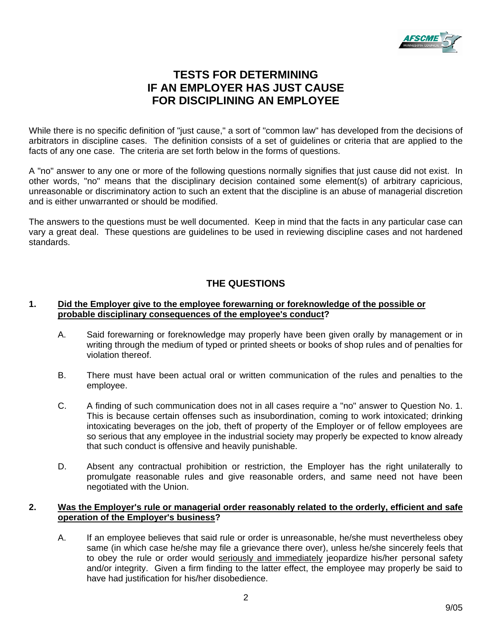

# **TESTS FOR DETERMINING IF AN EMPLOYER HAS JUST CAUSE FOR DISCIPLINING AN EMPLOYEE**

While there is no specific definition of "just cause," a sort of "common law" has developed from the decisions of arbitrators in discipline cases. The definition consists of a set of guidelines or criteria that are applied to the facts of any one case. The criteria are set forth below in the forms of questions.

A "no" answer to any one or more of the following questions normally signifies that just cause did not exist. In other words, "no" means that the disciplinary decision contained some element(s) of arbitrary capricious, unreasonable or discriminatory action to such an extent that the discipline is an abuse of managerial discretion and is either unwarranted or should be modified.

The answers to the questions must be well documented. Keep in mind that the facts in any particular case can vary a great deal. These questions are guidelines to be used in reviewing discipline cases and not hardened standards.

## **THE QUESTIONS**

#### **1. Did the Employer give to the employee forewarning or foreknowledge of the possible or probable disciplinary consequences of the employee's conduct?**

- A. Said forewarning or foreknowledge may properly have been given orally by management or in writing through the medium of typed or printed sheets or books of shop rules and of penalties for violation thereof.
- B. There must have been actual oral or written communication of the rules and penalties to the employee.
- C. A finding of such communication does not in all cases require a "no" answer to Question No. 1. This is because certain offenses such as insubordination, coming to work intoxicated; drinking intoxicating beverages on the job, theft of property of the Employer or of fellow employees are so serious that any employee in the industrial society may properly be expected to know already that such conduct is offensive and heavily punishable.
- D. Absent any contractual prohibition or restriction, the Employer has the right unilaterally to promulgate reasonable rules and give reasonable orders, and same need not have been negotiated with the Union.

### **2. Was the Employer's rule or managerial order reasonably related to the orderly, efficient and safe operation of the Employer's business?**

A. If an employee believes that said rule or order is unreasonable, he/she must nevertheless obey same (in which case he/she may file a grievance there over), unless he/she sincerely feels that to obey the rule or order would seriously and immediately jeopardize his/her personal safety and/or integrity. Given a firm finding to the latter effect, the employee may properly be said to have had justification for his/her disobedience.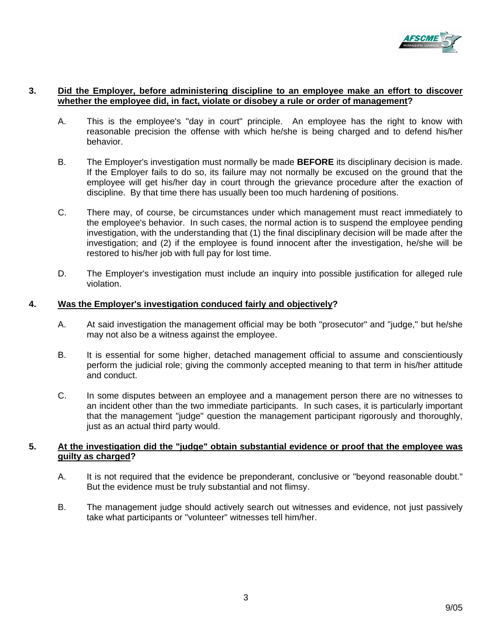

#### **3. Did the Employer, before administering discipline to an employee make an effort to discover whether the employee did, in fact, violate or disobey a rule or order of management?**

- A. This is the employee's "day in court" principle. An employee has the right to know with reasonable precision the offense with which he/she is being charged and to defend his/her behavior.
- B. The Employer's investigation must normally be made **BEFORE** its disciplinary decision is made. If the Employer fails to do so, its failure may not normally be excused on the ground that the employee will get his/her day in court through the grievance procedure after the exaction of discipline. By that time there has usually been too much hardening of positions.
- C. There may, of course, be circumstances under which management must react immediately to the employee's behavior. In such cases, the normal action is to suspend the employee pending investigation, with the understanding that (1) the final disciplinary decision will be made after the investigation; and (2) if the employee is found innocent after the investigation, he/she will be restored to his/her job with full pay for lost time.
- D. The Employer's investigation must include an inquiry into possible justification for alleged rule violation.

#### **4. Was the Employer's investigation conduced fairly and objectively?**

- A. At said investigation the management official may be both "prosecutor" and "judge," but he/she may not also be a witness against the employee.
- B. It is essential for some higher, detached management official to assume and conscientiously perform the judicial role; giving the commonly accepted meaning to that term in his/her attitude and conduct.
- C. In some disputes between an employee and a management person there are no witnesses to an incident other than the two immediate participants. In such cases, it is particularly important that the management "judge" question the management participant rigorously and thoroughly, just as an actual third party would.

### **5. At the investigation did the "judge" obtain substantial evidence or proof that the employee was guilty as charged?**

- A. It is not required that the evidence be preponderant, conclusive or "beyond reasonable doubt." But the evidence must be truly substantial and not flimsy.
- B. The management judge should actively search out witnesses and evidence, not just passively take what participants or "volunteer" witnesses tell him/her.